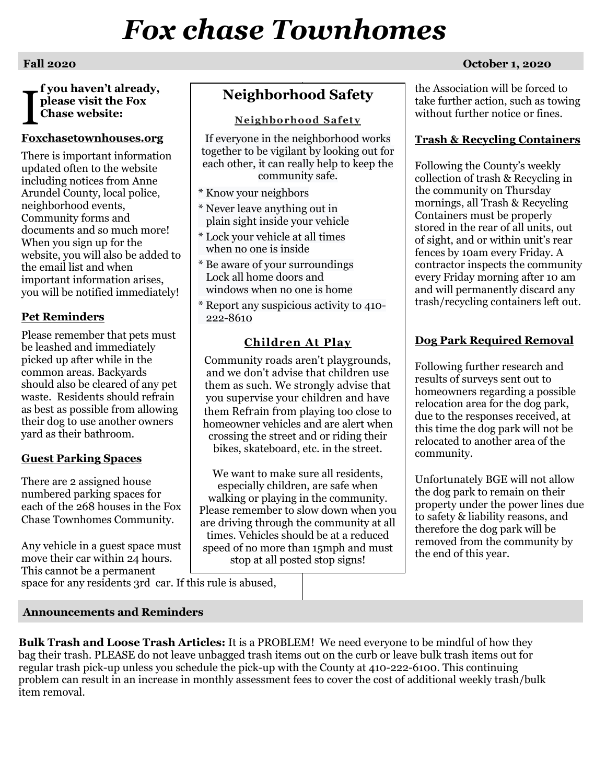# *Fox chase Townhomes*

**f you haven't already, please visit the Fox Chase website:**  I

#### **Foxchasetownhouses.org**

There is important information updated often to the website including notices from Anne Arundel County, local police, neighborhood events, Community forms and documents and so much more! When you sign up for the website, you will also be added to the email list and when important information arises, you will be notified immediately!

### **Pet Reminders**

Please remember that pets must be leashed and immediately picked up after while in the common areas. Backyards should also be cleared of any pet waste. Residents should refrain as best as possible from allowing their dog to use another owners yard as their bathroom.

#### **Guest Parking Spaces**

There are 2 assigned house numbered parking spaces for each of the 268 houses in the Fox Chase Townhomes Community.

Any vehicle in a guest space must move their car within 24 hours. This cannot be a permanent space for any residents 3rd car. If this rule is abused,

# **Neighborhood Safety**

**Neighborhood Safety**

If everyone in the neighborhood works together to be vigilant by looking out for each other, it can really help to keep the community safe.

- \* Know your neighbors
- \* Never leave anything out in plain sight inside your vehicle
- \* Lock your vehicle at all times when no one is inside
- \* Be aware of your surroundings Lock all home doors and windows when no one is home
- \* Report any suspicious activity to 410- 222-8610

#### **Children At Play**

Community roads aren't playgrounds, and we don't advise that children use them as such. We strongly advise that you supervise your children and have them Refrain from playing too close to homeowner vehicles and are alert when crossing the street and or riding their bikes, skateboard, etc. in the street.

We want to make sure all residents, especially children, are safe when walking or playing in the community. Please remember to slow down when you are driving through the community at all times. Vehicles should be at a reduced speed of no more than 15mph and must stop at all posted stop signs!

#### **Fall 2020 October 1, 2020**

the Association will be forced to take further action, such as towing without further notice or fines.

#### **Trash & Recycling Containers**

Following the County's weekly collection of trash & Recycling in the community on Thursday mornings, all Trash & Recycling Containers must be properly stored in the rear of all units, out of sight, and or within unit's rear fences by 10am every Friday. A contractor inspects the community every Friday morning after 10 am and will permanently discard any trash/recycling containers left out.

### **Dog Park Required Removal**

Following further research and results of surveys sent out to homeowners regarding a possible relocation area for the dog park, due to the responses received, at this time the dog park will not be relocated to another area of the community.

Unfortunately BGE will not allow the dog park to remain on their property under the power lines due to safety & liability reasons, and therefore the dog park will be removed from the community by the end of this year.

**Announcements and Reminders**

**Bulk Trash and Loose Trash Articles:** It is a PROBLEM! We need everyone to be mindful of how they bag their trash. PLEASE do not leave unbagged trash items out on the curb or leave bulk trash items out for regular trash pick-up unless you schedule the pick-up with the County at 410-222-6100. This continuing problem can result in an increase in monthly assessment fees to cover the cost of additional weekly trash/bulk item removal.